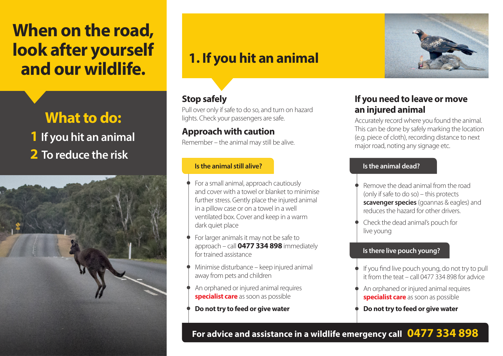# **When on the road, look after yourself and our wildlife. 1. If you hit an animal**

## **What to do: 1 If you hit an animal 2 To reduce the risk**



### **Stop safely**

Pull over only if safe to do so, and turn on hazard lights. Check your passengers are safe.

#### **Approach with caution**

Remember – the animal may still be alive.

#### **Is the animal still alive? Is the animal dead?**

- For a small animal, approach cautiously and cover with a towel or blanket to minimise further stress. Gently place the injured animal in a pillow case or on a towel in a well ventilated box. Cover and keep in a warm dark quiet place
- For larger animals it may not be safe to approach – call **0477 334 898** immediately for trained assistance
- Minimise disturbance keep injured animal away from pets and children
- An orphaned or injured animal requires **specialist care** as soon as possible
- **Do not try to feed or give water**



### **If you need to leave or move an injured animal**

Accurately record where you found the animal. This can be done by safely marking the location (e.g. piece of cloth), recording distance to next major road, noting any signage etc.

- Remove the dead animal from the road (only if safe to do so) – this protects **scavenger species** (goannas & eagles) and reduces the hazard for other drivers.
- Check the dead animal's pouch for live young

#### **Is there live pouch young?**

- If you find live pouch young, do not try to pull it from the teat – call 0477 334 898 for advice
- An orphaned or injured animal requires **specialist care** as soon as possible
- **Do not try to feed or give water**

#### **For advice and assistance in a wildlife emergency call 0477 334 898**